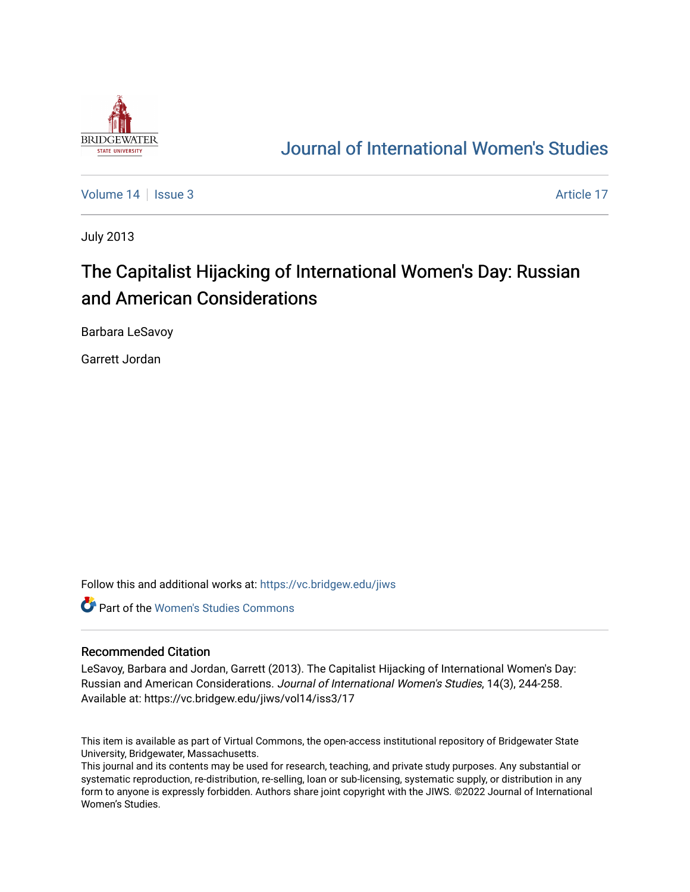

## [Journal of International Women's Studies](https://vc.bridgew.edu/jiws)

[Volume 14](https://vc.bridgew.edu/jiws/vol14) | [Issue 3](https://vc.bridgew.edu/jiws/vol14/iss3) Article 17

July 2013

# The Capitalist Hijacking of International Women's Day: Russian and American Considerations

Barbara LeSavoy

Garrett Jordan

Follow this and additional works at: [https://vc.bridgew.edu/jiws](https://vc.bridgew.edu/jiws?utm_source=vc.bridgew.edu%2Fjiws%2Fvol14%2Fiss3%2F17&utm_medium=PDF&utm_campaign=PDFCoverPages)

**C** Part of the Women's Studies Commons

#### Recommended Citation

LeSavoy, Barbara and Jordan, Garrett (2013). The Capitalist Hijacking of International Women's Day: Russian and American Considerations. Journal of International Women's Studies, 14(3), 244-258. Available at: https://vc.bridgew.edu/jiws/vol14/iss3/17

This item is available as part of Virtual Commons, the open-access institutional repository of Bridgewater State University, Bridgewater, Massachusetts.

This journal and its contents may be used for research, teaching, and private study purposes. Any substantial or systematic reproduction, re-distribution, re-selling, loan or sub-licensing, systematic supply, or distribution in any form to anyone is expressly forbidden. Authors share joint copyright with the JIWS. ©2022 Journal of International Women's Studies.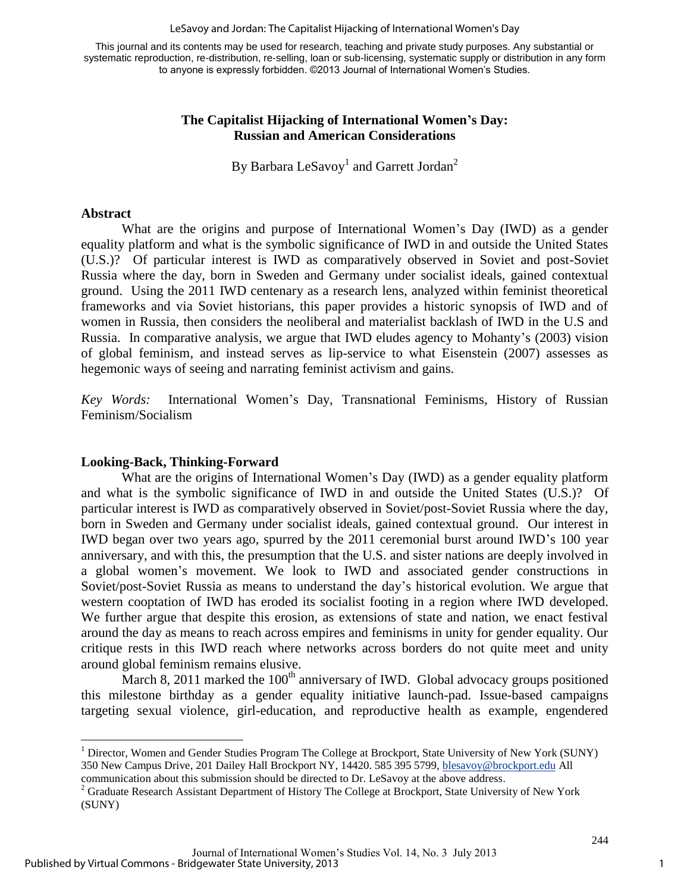LeSavoy and Jordan: The Capitalist Hijacking of International Women's Day

This journal and its contents may be used for research, teaching and private study purposes. Any substantial or systematic reproduction, re-distribution, re-selling, loan or sub-licensing, systematic supply or distribution in any form to anyone is expressly forbidden. ©2013 Journal of International Women's Studies.

#### **The Capitalist Hijacking of International Women's Day: Russian and American Considerations**

By Barbara LeSavoy<sup>1</sup> and Garrett Jordan<sup>2</sup>

#### **Abstract**

 $\overline{a}$ 

What are the origins and purpose of International Women's Day (IWD) as a gender equality platform and what is the symbolic significance of IWD in and outside the United States (U.S.)? Of particular interest is IWD as comparatively observed in Soviet and post-Soviet Russia where the day, born in Sweden and Germany under socialist ideals, gained contextual ground. Using the 2011 IWD centenary as a research lens, analyzed within feminist theoretical frameworks and via Soviet historians, this paper provides a historic synopsis of IWD and of women in Russia, then considers the neoliberal and materialist backlash of IWD in the U.S and Russia. In comparative analysis, we argue that IWD eludes agency to Mohanty's (2003) vision of global feminism, and instead serves as lip-service to what Eisenstein (2007) assesses as hegemonic ways of seeing and narrating feminist activism and gains.

*Key Words:* International Women's Day, Transnational Feminisms, History of Russian Feminism/Socialism

### **Looking-Back, Thinking-Forward**

 What are the origins of International Women's Day (IWD) as a gender equality platform and what is the symbolic significance of IWD in and outside the United States (U.S.)? Of particular interest is IWD as comparatively observed in Soviet/post-Soviet Russia where the day, born in Sweden and Germany under socialist ideals, gained contextual ground. Our interest in IWD began over two years ago, spurred by the 2011 ceremonial burst around IWD's 100 year anniversary, and with this, the presumption that the U.S. and sister nations are deeply involved in a global women's movement. We look to IWD and associated gender constructions in Soviet/post-Soviet Russia as means to understand the day's historical evolution. We argue that western cooptation of IWD has eroded its socialist footing in a region where IWD developed. We further argue that despite this erosion, as extensions of state and nation, we enact festival around the day as means to reach across empires and feminisms in unity for gender equality. Our critique rests in this IWD reach where networks across borders do not quite meet and unity around global feminism remains elusive.

March 8, 2011 marked the  $100<sup>th</sup>$  anniversary of IWD. Global advocacy groups positioned this milestone birthday as a gender equality initiative launch-pad. Issue-based campaigns targeting sexual violence, girl-education, and reproductive health as example, engendered

<sup>&</sup>lt;sup>1</sup> Director, Women and Gender Studies Program The College at Brockport, State University of New York (SUNY) 350 New Campus Drive, 201 Dailey Hall Brockport NY, 14420. 585 395 5799, [blesavoy@brockport.edu A](mailto:blesavoy@brockport.edu)ll

communication about this submission should be directed to Dr. LeSavoy at the above address. 2 Graduate Research Assistant Department of History The College at Brockport, State University of New York (SUNY)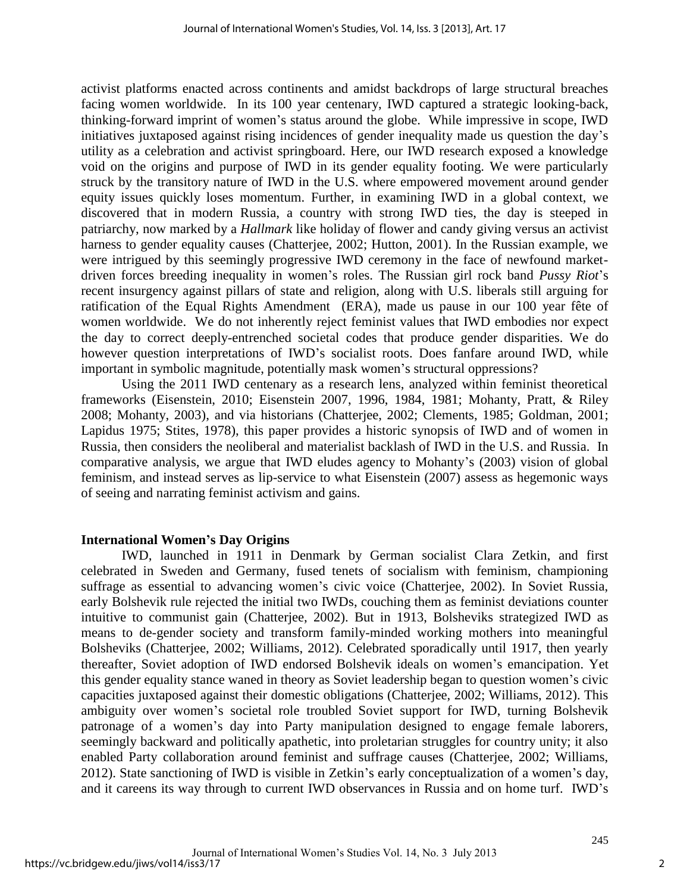activist platforms enacted across continents and amidst backdrops of large structural breaches facing women worldwide. In its 100 year centenary, IWD captured a strategic looking-back, thinking-forward imprint of women's status around the globe. While impressive in scope, IWD initiatives juxtaposed against rising incidences of gender inequality made us question the day's utility as a celebration and activist springboard. Here, our IWD research exposed a knowledge void on the origins and purpose of IWD in its gender equality footing. We were particularly struck by the transitory nature of IWD in the U.S. where empowered movement around gender equity issues quickly loses momentum. Further, in examining IWD in a global context, we discovered that in modern Russia, a country with strong IWD ties, the day is steeped in patriarchy, now marked by a *Hallmark* like holiday of flower and candy giving versus an activist harness to gender equality causes (Chatterjee, 2002; Hutton, 2001). In the Russian example, we were intrigued by this seemingly progressive IWD ceremony in the face of newfound marketdriven forces breeding inequality in women's roles. The Russian girl rock band *Pussy Riot*'s recent insurgency against pillars of state and religion, along with U.S. liberals still arguing for ratification of the Equal Rights Amendment (ERA), made us pause in our 100 year fête of women worldwide. We do not inherently reject feminist values that IWD embodies nor expect the day to correct deeply-entrenched societal codes that produce gender disparities. We do however question interpretations of IWD's socialist roots. Does fanfare around IWD, while important in symbolic magnitude, potentially mask women's structural oppressions?

 Using the 2011 IWD centenary as a research lens, analyzed within feminist theoretical frameworks (Eisenstein, 2010; Eisenstein 2007, 1996, 1984, 1981; Mohanty, Pratt, & Riley 2008; Mohanty, 2003), and via historians (Chatterjee, 2002; Clements, 1985; Goldman, 2001; Lapidus 1975; Stites, 1978), this paper provides a historic synopsis of IWD and of women in Russia, then considers the neoliberal and materialist backlash of IWD in the U.S. and Russia. In comparative analysis, we argue that IWD eludes agency to Mohanty's (2003) vision of global feminism, and instead serves as lip-service to what Eisenstein (2007) assess as hegemonic ways of seeing and narrating feminist activism and gains.

#### **International Women's Day Origins**

 IWD, launched in 1911 in Denmark by German socialist Clara Zetkin, and first celebrated in Sweden and Germany, fused tenets of socialism with feminism, championing suffrage as essential to advancing women's civic voice (Chatterjee, 2002). In Soviet Russia, early Bolshevik rule rejected the initial two IWDs, couching them as feminist deviations counter intuitive to communist gain (Chatterjee, 2002). But in 1913, Bolsheviks strategized IWD as means to de-gender society and transform family-minded working mothers into meaningful Bolsheviks (Chatterjee, 2002; Williams, 2012). Celebrated sporadically until 1917, then yearly thereafter, Soviet adoption of IWD endorsed Bolshevik ideals on women's emancipation. Yet this gender equality stance waned in theory as Soviet leadership began to question women's civic capacities juxtaposed against their domestic obligations (Chatterjee, 2002; Williams, 2012). This ambiguity over women's societal role troubled Soviet support for IWD, turning Bolshevik patronage of a women's day into Party manipulation designed to engage female laborers, seemingly backward and politically apathetic, into proletarian struggles for country unity; it also enabled Party collaboration around feminist and suffrage causes (Chatterjee, 2002; Williams, 2012). State sanctioning of IWD is visible in Zetkin's early conceptualization of a women's day, and it careens its way through to current IWD observances in Russia and on home turf. IWD's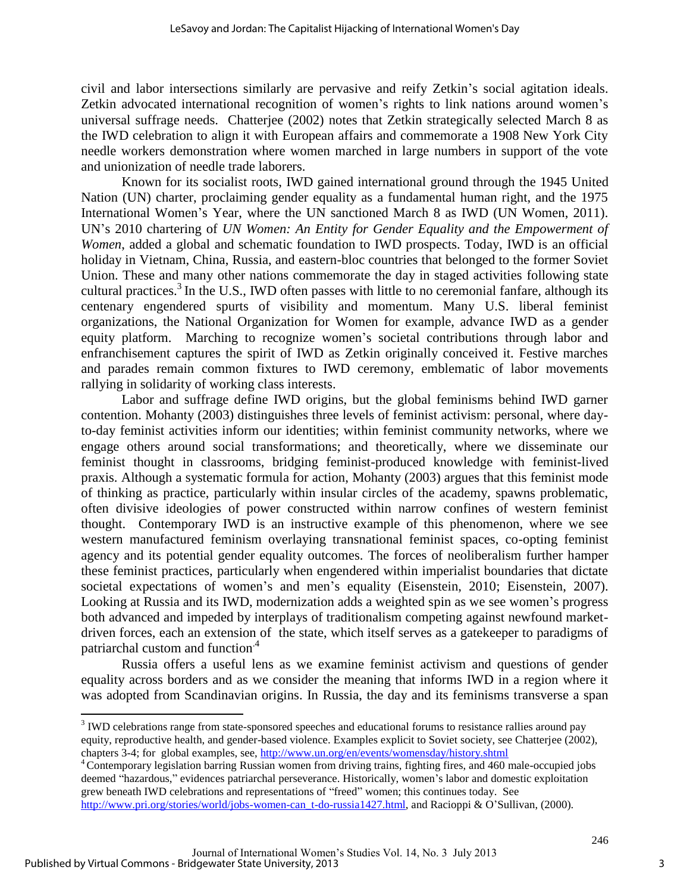civil and labor intersections similarly are pervasive and reify Zetkin's social agitation ideals. Zetkin advocated international recognition of women's rights to link nations around women's universal suffrage needs. Chatterjee (2002) notes that Zetkin strategically selected March 8 as the IWD celebration to align it with European affairs and commemorate a 1908 New York City needle workers demonstration where women marched in large numbers in support of the vote and unionization of needle trade laborers.

Known for its socialist roots, IWD gained international ground through the 1945 United Nation (UN) charter, proclaiming gender equality as a fundamental human right, and the 1975 International Women's Year, where the UN sanctioned March 8 as IWD (UN Women, 2011). UN's 2010 chartering of *UN Women: An Entity for Gender Equality and the Empowerment of Women*, added a global and schematic foundation to IWD prospects. Today, IWD is an official holiday in Vietnam, China, Russia, and eastern-bloc countries that belonged to the former Soviet Union. These and many other nations commemorate the day in staged activities following state cultural practices.<sup>3</sup> In the U.S., IWD often passes with little to no ceremonial fanfare, although its centenary engendered spurts of visibility and momentum. Many U.S. liberal feminist organizations, the National Organization for Women for example, advance IWD as a gender equity platform. Marching to recognize women's societal contributions through labor and enfranchisement captures the spirit of IWD as Zetkin originally conceived it. Festive marches and parades remain common fixtures to IWD ceremony, emblematic of labor movements rallying in solidarity of working class interests.

Labor and suffrage define IWD origins, but the global feminisms behind IWD garner contention. Mohanty (2003) distinguishes three levels of feminist activism: personal, where dayto-day feminist activities inform our identities; within feminist community networks, where we engage others around social transformations; and theoretically, where we disseminate our feminist thought in classrooms, bridging feminist-produced knowledge with feminist-lived praxis. Although a systematic formula for action, Mohanty (2003) argues that this feminist mode of thinking as practice, particularly within insular circles of the academy, spawns problematic, often divisive ideologies of power constructed within narrow confines of western feminist thought. Contemporary IWD is an instructive example of this phenomenon, where we see western manufactured feminism overlaying transnational feminist spaces, co-opting feminist agency and its potential gender equality outcomes. The forces of neoliberalism further hamper these feminist practices, particularly when engendered within imperialist boundaries that dictate societal expectations of women's and men's equality (Eisenstein, 2010; Eisenstein, 2007). Looking at Russia and its IWD, modernization adds a weighted spin as we see women's progress both advanced and impeded by interplays of traditionalism competing against newfound marketdriven forces, each an extension of the state, which itself serves as a gatekeeper to paradigms of patriarchal custom and function<sup>4</sup>

 Russia offers a useful lens as we examine feminist activism and questions of gender equality across borders and as we consider the meaning that informs IWD in a region where it was adopted from Scandinavian origins. In Russia, the day and its feminisms transverse a span

 $\overline{\phantom{a}}$ 

 $3$  IWD celebrations range from state-sponsored speeches and educational forums to resistance rallies around pay equity, reproductive health, and gender-based violence. Examples explicit to Soviet society, see Chatterjee (2002), chapters 3-4; for global examples, see,<http://www.un.org/en/events/womensday/history.shtml>

<sup>&</sup>lt;sup>4</sup> Contemporary legislation barring Russian women from driving trains, fighting fires, and 460 male-occupied jobs deemed "hazardous," evidences patriarchal perseverance. Historically, women's labor and domestic exploitation grew beneath IWD celebrations and representations of "freed" women; this continues today. See [http://www.pri.org/stories/world/jobs-women-can\\_t-do-russia1427.html,](http://www.pri.org/stories/world/jobs-women-can_t-do-russia1427.html) and Racioppi & O'Sullivan, (2000).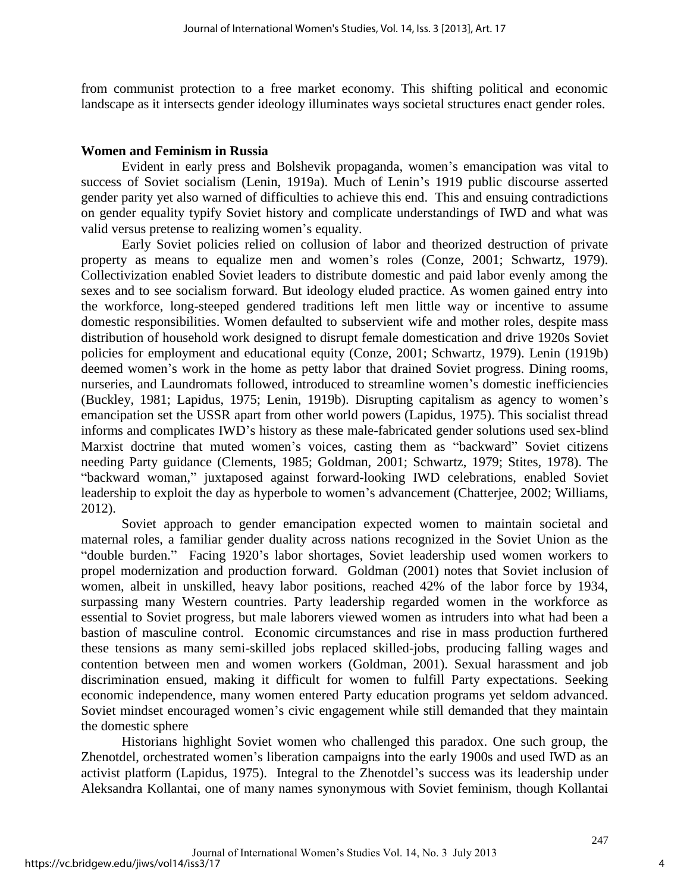from communist protection to a free market economy. This shifting political and economic landscape as it intersects gender ideology illuminates ways societal structures enact gender roles.

#### **Women and Feminism in Russia**

 Evident in early press and Bolshevik propaganda, women's emancipation was vital to success of Soviet socialism (Lenin, 1919a). Much of Lenin's 1919 public discourse asserted gender parity yet also warned of difficulties to achieve this end. This and ensuing contradictions on gender equality typify Soviet history and complicate understandings of IWD and what was valid versus pretense to realizing women's equality.

 Early Soviet policies relied on collusion of labor and theorized destruction of private property as means to equalize men and women's roles (Conze, 2001; Schwartz, 1979). Collectivization enabled Soviet leaders to distribute domestic and paid labor evenly among the sexes and to see socialism forward. But ideology eluded practice. As women gained entry into the workforce, long-steeped gendered traditions left men little way or incentive to assume domestic responsibilities. Women defaulted to subservient wife and mother roles, despite mass distribution of household work designed to disrupt female domestication and drive 1920s Soviet policies for employment and educational equity (Conze, 2001; Schwartz, 1979). Lenin (1919b) deemed women's work in the home as petty labor that drained Soviet progress. Dining rooms, nurseries, and Laundromats followed, introduced to streamline women's domestic inefficiencies (Buckley, 1981; Lapidus, 1975; Lenin, 1919b). Disrupting capitalism as agency to women's emancipation set the USSR apart from other world powers (Lapidus, 1975). This socialist thread informs and complicates IWD's history as these male-fabricated gender solutions used sex-blind Marxist doctrine that muted women's voices, casting them as "backward" Soviet citizens needing Party guidance (Clements, 1985; Goldman, 2001; Schwartz, 1979; Stites, 1978). The "backward woman," juxtaposed against forward-looking IWD celebrations, enabled Soviet leadership to exploit the day as hyperbole to women's advancement (Chatterjee, 2002; Williams, 2012).

 Soviet approach to gender emancipation expected women to maintain societal and maternal roles, a familiar gender duality across nations recognized in the Soviet Union as the "double burden." Facing 1920's labor shortages, Soviet leadership used women workers to propel modernization and production forward. Goldman (2001) notes that Soviet inclusion of women, albeit in unskilled, heavy labor positions, reached 42% of the labor force by 1934, surpassing many Western countries. Party leadership regarded women in the workforce as essential to Soviet progress, but male laborers viewed women as intruders into what had been a bastion of masculine control. Economic circumstances and rise in mass production furthered these tensions as many semi-skilled jobs replaced skilled-jobs, producing falling wages and contention between men and women workers (Goldman, 2001). Sexual harassment and job discrimination ensued, making it difficult for women to fulfill Party expectations. Seeking economic independence, many women entered Party education programs yet seldom advanced. Soviet mindset encouraged women's civic engagement while still demanded that they maintain the domestic sphere

 Historians highlight Soviet women who challenged this paradox. One such group, the Zhenotdel, orchestrated women's liberation campaigns into the early 1900s and used IWD as an activist platform (Lapidus, 1975). Integral to the Zhenotdel's success was its leadership under Aleksandra Kollantai, one of many names synonymous with Soviet feminism, though Kollantai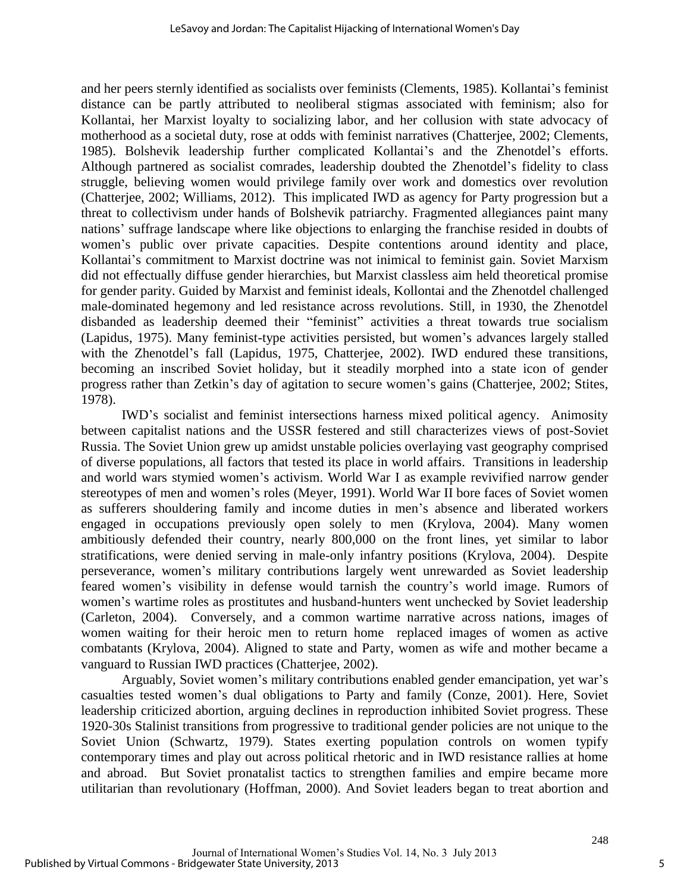and her peers sternly identified as socialists over feminists (Clements, 1985). Kollantai's feminist distance can be partly attributed to neoliberal stigmas associated with feminism; also for Kollantai, her Marxist loyalty to socializing labor, and her collusion with state advocacy of motherhood as a societal duty, rose at odds with feminist narratives (Chatterjee, 2002; Clements, 1985). Bolshevik leadership further complicated Kollantai's and the Zhenotdel's efforts. Although partnered as socialist comrades, leadership doubted the Zhenotdel's fidelity to class struggle, believing women would privilege family over work and domestics over revolution (Chatterjee, 2002; Williams, 2012). This implicated IWD as agency for Party progression but a threat to collectivism under hands of Bolshevik patriarchy. Fragmented allegiances paint many nations' suffrage landscape where like objections to enlarging the franchise resided in doubts of women's public over private capacities. Despite contentions around identity and place, Kollantai's commitment to Marxist doctrine was not inimical to feminist gain. Soviet Marxism did not effectually diffuse gender hierarchies, but Marxist classless aim held theoretical promise for gender parity. Guided by Marxist and feminist ideals, Kollontai and the Zhenotdel challenged male-dominated hegemony and led resistance across revolutions. Still, in 1930, the Zhenotdel disbanded as leadership deemed their "feminist" activities a threat towards true socialism (Lapidus, 1975). Many feminist-type activities persisted, but women's advances largely stalled with the Zhenotdel's fall (Lapidus, 1975, Chatterjee, 2002). IWD endured these transitions, becoming an inscribed Soviet holiday, but it steadily morphed into a state icon of gender progress rather than Zetkin's day of agitation to secure women's gains (Chatterjee, 2002; Stites, 1978).

 IWD's socialist and feminist intersections harness mixed political agency. Animosity between capitalist nations and the USSR festered and still characterizes views of post-Soviet Russia. The Soviet Union grew up amidst unstable policies overlaying vast geography comprised of diverse populations, all factors that tested its place in world affairs. Transitions in leadership and world wars stymied women's activism. World War I as example revivified narrow gender stereotypes of men and women's roles (Meyer, 1991). World War II bore faces of Soviet women as sufferers shouldering family and income duties in men's absence and liberated workers engaged in occupations previously open solely to men (Krylova, 2004). Many women ambitiously defended their country, nearly 800,000 on the front lines, yet similar to labor stratifications, were denied serving in male-only infantry positions (Krylova, 2004). Despite perseverance, women's military contributions largely went unrewarded as Soviet leadership feared women's visibility in defense would tarnish the country's world image. Rumors of women's wartime roles as prostitutes and husband-hunters went unchecked by Soviet leadership (Carleton, 2004). Conversely, and a common wartime narrative across nations, images of women waiting for their heroic men to return home replaced images of women as active combatants (Krylova, 2004). Aligned to state and Party, women as wife and mother became a vanguard to Russian IWD practices (Chatterjee, 2002).

Arguably, Soviet women's military contributions enabled gender emancipation, yet war's casualties tested women's dual obligations to Party and family (Conze, 2001). Here, Soviet leadership criticized abortion, arguing declines in reproduction inhibited Soviet progress. These 1920-30s Stalinist transitions from progressive to traditional gender policies are not unique to the Soviet Union (Schwartz, 1979). States exerting population controls on women typify contemporary times and play out across political rhetoric and in IWD resistance rallies at home and abroad. But Soviet pronatalist tactics to strengthen families and empire became more utilitarian than revolutionary (Hoffman, 2000). And Soviet leaders began to treat abortion and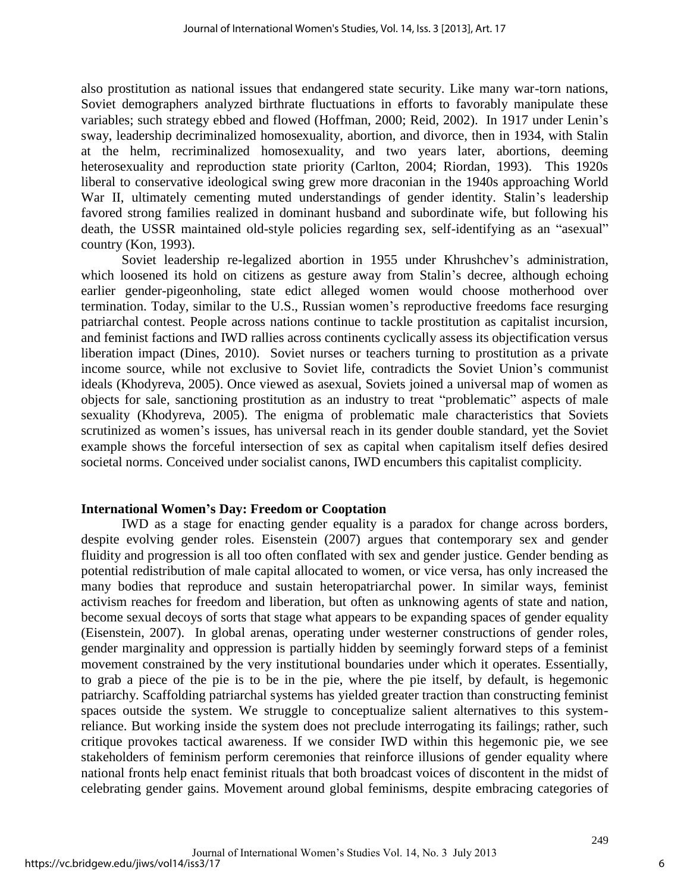also prostitution as national issues that endangered state security. Like many war-torn nations, Soviet demographers analyzed birthrate fluctuations in efforts to favorably manipulate these variables; such strategy ebbed and flowed (Hoffman, 2000; Reid, 2002). In 1917 under Lenin's sway, leadership decriminalized homosexuality, abortion, and divorce, then in 1934, with Stalin at the helm, recriminalized homosexuality, and two years later, abortions, deeming heterosexuality and reproduction state priority (Carlton, 2004; Riordan, 1993). This 1920s liberal to conservative ideological swing grew more draconian in the 1940s approaching World War II, ultimately cementing muted understandings of gender identity. Stalin's leadership favored strong families realized in dominant husband and subordinate wife, but following his death, the USSR maintained old-style policies regarding sex, self-identifying as an "asexual" country (Kon, 1993).

Soviet leadership re-legalized abortion in 1955 under Khrushchev's administration, which loosened its hold on citizens as gesture away from Stalin's decree, although echoing earlier gender-pigeonholing, state edict alleged women would choose motherhood over termination. Today, similar to the U.S., Russian women's reproductive freedoms face resurging patriarchal contest. People across nations continue to tackle prostitution as capitalist incursion, and feminist factions and IWD rallies across continents cyclically assess its objectification versus liberation impact (Dines, 2010). Soviet nurses or teachers turning to prostitution as a private income source, while not exclusive to Soviet life, contradicts the Soviet Union's communist ideals (Khodyreva, 2005). Once viewed as asexual, Soviets joined a universal map of women as objects for sale, sanctioning prostitution as an industry to treat "problematic" aspects of male sexuality (Khodyreva, 2005). The enigma of problematic male characteristics that Soviets scrutinized as women's issues, has universal reach in its gender double standard, yet the Soviet example shows the forceful intersection of sex as capital when capitalism itself defies desired societal norms. Conceived under socialist canons, IWD encumbers this capitalist complicity.

#### **International Women's Day: Freedom or Cooptation**

IWD as a stage for enacting gender equality is a paradox for change across borders, despite evolving gender roles. Eisenstein (2007) argues that contemporary sex and gender fluidity and progression is all too often conflated with sex and gender justice. Gender bending as potential redistribution of male capital allocated to women, or vice versa, has only increased the many bodies that reproduce and sustain heteropatriarchal power. In similar ways, feminist activism reaches for freedom and liberation, but often as unknowing agents of state and nation, become sexual decoys of sorts that stage what appears to be expanding spaces of gender equality (Eisenstein, 2007). In global arenas, operating under westerner constructions of gender roles, gender marginality and oppression is partially hidden by seemingly forward steps of a feminist movement constrained by the very institutional boundaries under which it operates. Essentially, to grab a piece of the pie is to be in the pie, where the pie itself, by default, is hegemonic patriarchy. Scaffolding patriarchal systems has yielded greater traction than constructing feminist spaces outside the system. We struggle to conceptualize salient alternatives to this systemreliance. But working inside the system does not preclude interrogating its failings; rather, such critique provokes tactical awareness. If we consider IWD within this hegemonic pie, we see stakeholders of feminism perform ceremonies that reinforce illusions of gender equality where national fronts help enact feminist rituals that both broadcast voices of discontent in the midst of celebrating gender gains. Movement around global feminisms, despite embracing categories of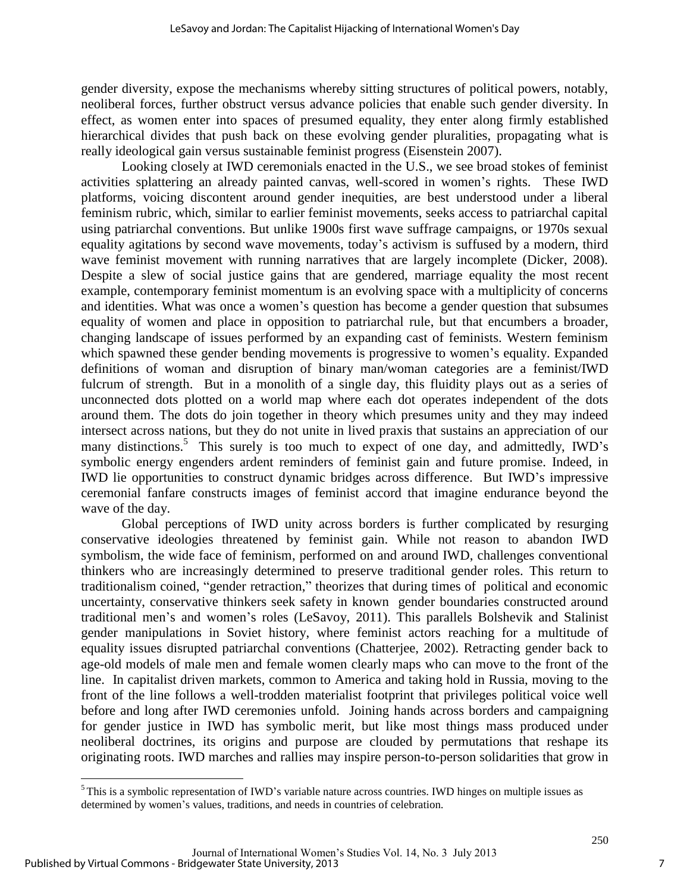gender diversity, expose the mechanisms whereby sitting structures of political powers, notably, neoliberal forces, further obstruct versus advance policies that enable such gender diversity. In effect, as women enter into spaces of presumed equality, they enter along firmly established hierarchical divides that push back on these evolving gender pluralities, propagating what is really ideological gain versus sustainable feminist progress (Eisenstein 2007).

Looking closely at IWD ceremonials enacted in the U.S., we see broad stokes of feminist activities splattering an already painted canvas, well-scored in women's rights. These IWD platforms, voicing discontent around gender inequities, are best understood under a liberal feminism rubric, which, similar to earlier feminist movements, seeks access to patriarchal capital using patriarchal conventions. But unlike 1900s first wave suffrage campaigns, or 1970s sexual equality agitations by second wave movements, today's activism is suffused by a modern, third wave feminist movement with running narratives that are largely incomplete (Dicker, 2008). Despite a slew of social justice gains that are gendered, marriage equality the most recent example, contemporary feminist momentum is an evolving space with a multiplicity of concerns and identities. What was once a women's question has become a gender question that subsumes equality of women and place in opposition to patriarchal rule, but that encumbers a broader, changing landscape of issues performed by an expanding cast of feminists. Western feminism which spawned these gender bending movements is progressive to women's equality. Expanded definitions of woman and disruption of binary man/woman categories are a feminist/IWD fulcrum of strength. But in a monolith of a single day, this fluidity plays out as a series of unconnected dots plotted on a world map where each dot operates independent of the dots around them. The dots do join together in theory which presumes unity and they may indeed intersect across nations, but they do not unite in lived praxis that sustains an appreciation of our many distinctions.<sup>5</sup> This surely is too much to expect of one day, and admittedly, IWD's symbolic energy engenders ardent reminders of feminist gain and future promise. Indeed, in IWD lie opportunities to construct dynamic bridges across difference. But IWD's impressive ceremonial fanfare constructs images of feminist accord that imagine endurance beyond the wave of the day.

Global perceptions of IWD unity across borders is further complicated by resurging conservative ideologies threatened by feminist gain. While not reason to abandon IWD symbolism, the wide face of feminism, performed on and around IWD, challenges conventional thinkers who are increasingly determined to preserve traditional gender roles. This return to traditionalism coined, "gender retraction," theorizes that during times of political and economic uncertainty, conservative thinkers seek safety in known gender boundaries constructed around traditional men's and women's roles (LeSavoy, 2011). This parallels Bolshevik and Stalinist gender manipulations in Soviet history, where feminist actors reaching for a multitude of equality issues disrupted patriarchal conventions (Chatterjee, 2002). Retracting gender back to age-old models of male men and female women clearly maps who can move to the front of the line. In capitalist driven markets, common to America and taking hold in Russia, moving to the front of the line follows a well-trodden materialist footprint that privileges political voice well before and long after IWD ceremonies unfold. Joining hands across borders and campaigning for gender justice in IWD has symbolic merit, but like most things mass produced under neoliberal doctrines, its origins and purpose are clouded by permutations that reshape its originating roots. IWD marches and rallies may inspire person-to-person solidarities that grow in

 $\overline{\phantom{a}}$ 

 $<sup>5</sup>$ This is a symbolic representation of IWD's variable nature across countries. IWD hinges on multiple issues as</sup> determined by women's values, traditions, and needs in countries of celebration.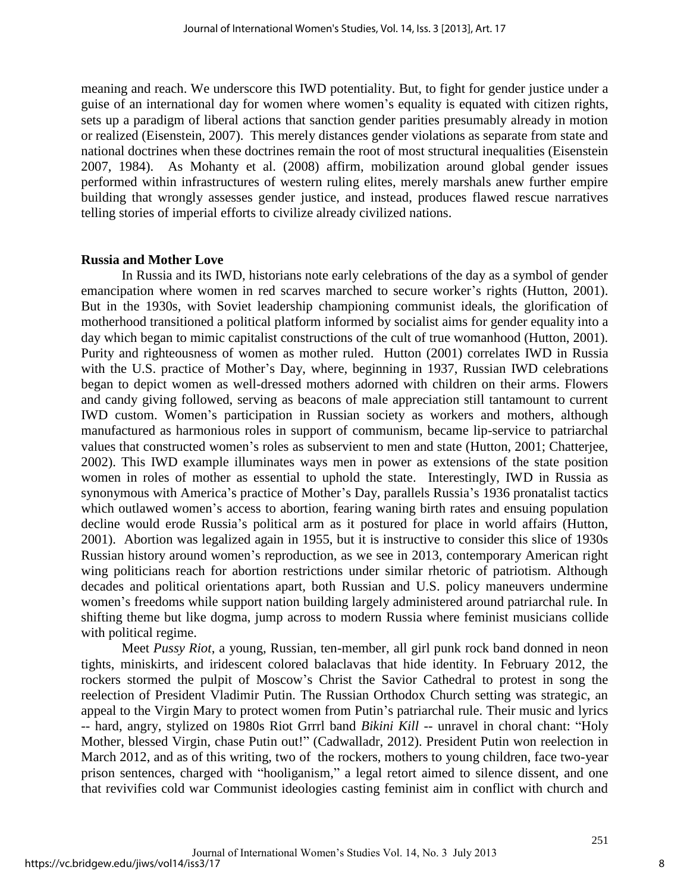meaning and reach. We underscore this IWD potentiality. But, to fight for gender justice under a guise of an international day for women where women's equality is equated with citizen rights, sets up a paradigm of liberal actions that sanction gender parities presumably already in motion or realized (Eisenstein, 2007). This merely distances gender violations as separate from state and national doctrines when these doctrines remain the root of most structural inequalities (Eisenstein 2007, 1984). As Mohanty et al. (2008) affirm, mobilization around global gender issues performed within infrastructures of western ruling elites, merely marshals anew further empire building that wrongly assesses gender justice, and instead, produces flawed rescue narratives telling stories of imperial efforts to civilize already civilized nations.

#### **Russia and Mother Love**

In Russia and its IWD, historians note early celebrations of the day as a symbol of gender emancipation where women in red scarves marched to secure worker's rights (Hutton, 2001). But in the 1930s, with Soviet leadership championing communist ideals, the glorification of motherhood transitioned a political platform informed by socialist aims for gender equality into a day which began to mimic capitalist constructions of the cult of true womanhood (Hutton, 2001). Purity and righteousness of women as mother ruled. Hutton (2001) correlates IWD in Russia with the U.S. practice of Mother's Day, where, beginning in 1937, Russian IWD celebrations began to depict women as well-dressed mothers adorned with children on their arms. Flowers and candy giving followed, serving as beacons of male appreciation still tantamount to current IWD custom. Women's participation in Russian society as workers and mothers, although manufactured as harmonious roles in support of communism, became lip-service to patriarchal values that constructed women's roles as subservient to men and state (Hutton, 2001; Chatterjee, 2002). This IWD example illuminates ways men in power as extensions of the state position women in roles of mother as essential to uphold the state. Interestingly, IWD in Russia as synonymous with America's practice of Mother's Day, parallels Russia's 1936 pronatalist tactics which outlawed women's access to abortion, fearing waning birth rates and ensuing population decline would erode Russia's political arm as it postured for place in world affairs (Hutton, 2001). Abortion was legalized again in 1955, but it is instructive to consider this slice of 1930s Russian history around women's reproduction, as we see in 2013, contemporary American right wing politicians reach for abortion restrictions under similar rhetoric of patriotism. Although decades and political orientations apart, both Russian and U.S. policy maneuvers undermine women's freedoms while support nation building largely administered around patriarchal rule. In shifting theme but like dogma, jump across to modern Russia where feminist musicians collide with political regime.

Meet *Pussy Riot*, a young, Russian, ten-member, all girl punk rock band donned in neon tights, miniskirts, and iridescent colored balaclavas that hide identity. In February 2012, the rockers stormed the pulpit of Moscow's Christ the Savior Cathedral to protest in song the reelection of President Vladimir Putin. The Russian Orthodox Church setting was strategic, an appeal to the Virgin Mary to protect women from Putin's patriarchal rule. Their music and lyrics -- hard, angry, stylized on 1980s Riot Grrrl band *Bikini Kill* -- unravel in choral chant: "Holy Mother, blessed Virgin, chase Putin out!" (Cadwalladr, 2012). President Putin won reelection in March 2012, and as of this writing, two of the rockers, mothers to young children, face two-year prison sentences, charged with "hooliganism," a legal retort aimed to silence dissent, and one that revivifies cold war Communist ideologies casting feminist aim in conflict with church and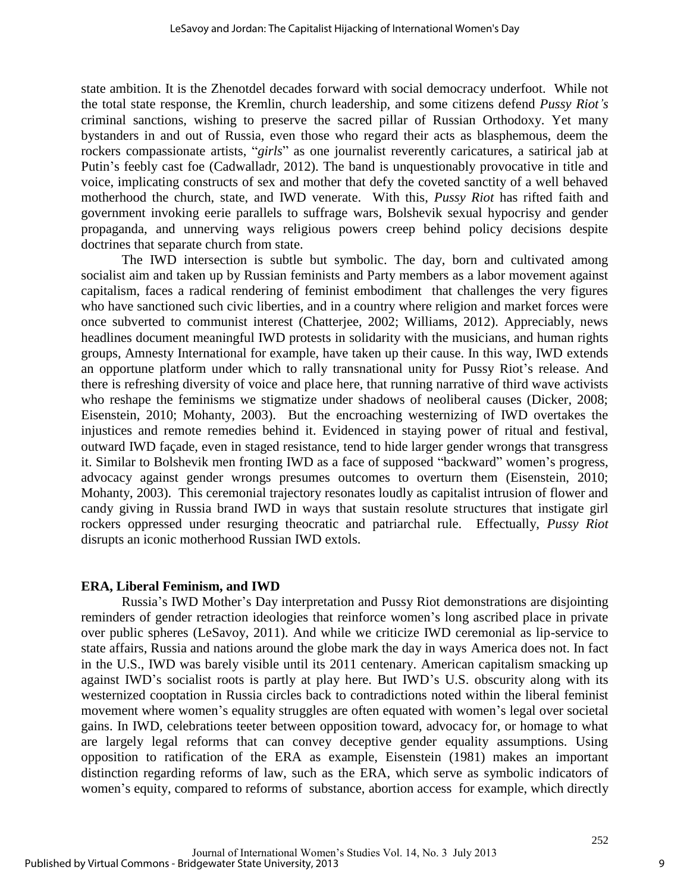state ambition. It is the Zhenotdel decades forward with social democracy underfoot. While not the total state response, the Kremlin, church leadership, and some citizens defend *Pussy Riot's* criminal sanctions, wishing to preserve the sacred pillar of Russian Orthodoxy. Yet many bystanders in and out of Russia, even those who regard their acts as blasphemous, deem the rockers compassionate artists, "*girls*" as one journalist reverently caricatures, a satirical jab at Putin's feebly cast foe (Cadwalladr, 2012). The band is unquestionably provocative in title and voice, implicating constructs of sex and mother that defy the coveted sanctity of a well behaved motherhood the church, state, and IWD venerate. With this, *Pussy Riot* has rifted faith and government invoking eerie parallels to suffrage wars, Bolshevik sexual hypocrisy and gender propaganda, and unnerving ways religious powers creep behind policy decisions despite doctrines that separate church from state.

The IWD intersection is subtle but symbolic. The day, born and cultivated among socialist aim and taken up by Russian feminists and Party members as a labor movement against capitalism, faces a radical rendering of feminist embodiment that challenges the very figures who have sanctioned such civic liberties, and in a country where religion and market forces were once subverted to communist interest (Chatterjee, 2002; Williams, 2012). Appreciably, news headlines document meaningful IWD protests in solidarity with the musicians, and human rights groups, Amnesty International for example, have taken up their cause. In this way, IWD extends an opportune platform under which to rally transnational unity for Pussy Riot's release. And there is refreshing diversity of voice and place here, that running narrative of third wave activists who reshape the feminisms we stigmatize under shadows of neoliberal causes (Dicker, 2008; Eisenstein, 2010; Mohanty, 2003). But the encroaching westernizing of IWD overtakes the injustices and remote remedies behind it. Evidenced in staying power of ritual and festival, outward IWD façade, even in staged resistance, tend to hide larger gender wrongs that transgress it. Similar to Bolshevik men fronting IWD as a face of supposed "backward" women's progress, advocacy against gender wrongs presumes outcomes to overturn them (Eisenstein, 2010; Mohanty, 2003). This ceremonial trajectory resonates loudly as capitalist intrusion of flower and candy giving in Russia brand IWD in ways that sustain resolute structures that instigate girl rockers oppressed under resurging theocratic and patriarchal rule. Effectually, *Pussy Riot* disrupts an iconic motherhood Russian IWD extols.

#### **ERA, Liberal Feminism, and IWD**

Russia's IWD Mother's Day interpretation and Pussy Riot demonstrations are disjointing reminders of gender retraction ideologies that reinforce women's long ascribed place in private over public spheres (LeSavoy, 2011). And while we criticize IWD ceremonial as lip-service to state affairs, Russia and nations around the globe mark the day in ways America does not. In fact in the U.S., IWD was barely visible until its 2011 centenary. American capitalism smacking up against IWD's socialist roots is partly at play here. But IWD's U.S. obscurity along with its westernized cooptation in Russia circles back to contradictions noted within the liberal feminist movement where women's equality struggles are often equated with women's legal over societal gains. In IWD, celebrations teeter between opposition toward, advocacy for, or homage to what are largely legal reforms that can convey deceptive gender equality assumptions. Using opposition to ratification of the ERA as example, Eisenstein (1981) makes an important distinction regarding reforms of law, such as the ERA, which serve as symbolic indicators of women's equity, compared to reforms of substance, abortion access for example, which directly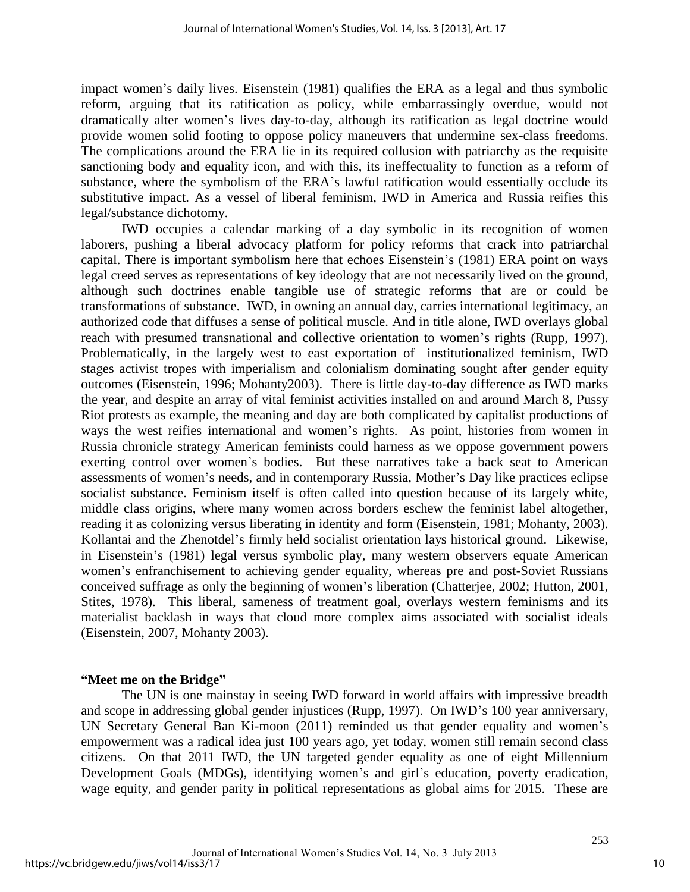impact women's daily lives. Eisenstein (1981) qualifies the ERA as a legal and thus symbolic reform, arguing that its ratification as policy, while embarrassingly overdue, would not dramatically alter women's lives day-to-day, although its ratification as legal doctrine would provide women solid footing to oppose policy maneuvers that undermine sex-class freedoms. The complications around the ERA lie in its required collusion with patriarchy as the requisite sanctioning body and equality icon, and with this, its ineffectuality to function as a reform of substance, where the symbolism of the ERA's lawful ratification would essentially occlude its substitutive impact. As a vessel of liberal feminism, IWD in America and Russia reifies this legal/substance dichotomy.

IWD occupies a calendar marking of a day symbolic in its recognition of women laborers, pushing a liberal advocacy platform for policy reforms that crack into patriarchal capital. There is important symbolism here that echoes Eisenstein's (1981) ERA point on ways legal creed serves as representations of key ideology that are not necessarily lived on the ground, although such doctrines enable tangible use of strategic reforms that are or could be transformations of substance. IWD, in owning an annual day, carries international legitimacy, an authorized code that diffuses a sense of political muscle. And in title alone, IWD overlays global reach with presumed transnational and collective orientation to women's rights (Rupp, 1997). Problematically, in the largely west to east exportation of institutionalized feminism, IWD stages activist tropes with imperialism and colonialism dominating sought after gender equity outcomes (Eisenstein, 1996; Mohanty2003). There is little day-to-day difference as IWD marks the year, and despite an array of vital feminist activities installed on and around March 8, Pussy Riot protests as example, the meaning and day are both complicated by capitalist productions of ways the west reifies international and women's rights. As point, histories from women in Russia chronicle strategy American feminists could harness as we oppose government powers exerting control over women's bodies. But these narratives take a back seat to American assessments of women's needs, and in contemporary Russia, Mother's Day like practices eclipse socialist substance. Feminism itself is often called into question because of its largely white, middle class origins, where many women across borders eschew the feminist label altogether, reading it as colonizing versus liberating in identity and form (Eisenstein, 1981; Mohanty, 2003). Kollantai and the Zhenotdel's firmly held socialist orientation lays historical ground. Likewise, in Eisenstein's (1981) legal versus symbolic play, many western observers equate American women's enfranchisement to achieving gender equality, whereas pre and post-Soviet Russians conceived suffrage as only the beginning of women's liberation (Chatterjee, 2002; Hutton, 2001, Stites, 1978). This liberal, sameness of treatment goal, overlays western feminisms and its materialist backlash in ways that cloud more complex aims associated with socialist ideals (Eisenstein, 2007, Mohanty 2003).

#### **"Meet me on the Bridge"**

The UN is one mainstay in seeing IWD forward in world affairs with impressive breadth and scope in addressing global gender injustices (Rupp, 1997). On IWD's 100 year anniversary, UN Secretary General Ban Ki-moon (2011) reminded us that gender equality and women's empowerment was a radical idea just 100 years ago, yet today, women still remain second class citizens. On that 2011 IWD, the UN targeted gender equality as one of eight Millennium Development Goals (MDGs), identifying women's and girl's education, poverty eradication, wage equity, and gender parity in political representations as global aims for 2015. These are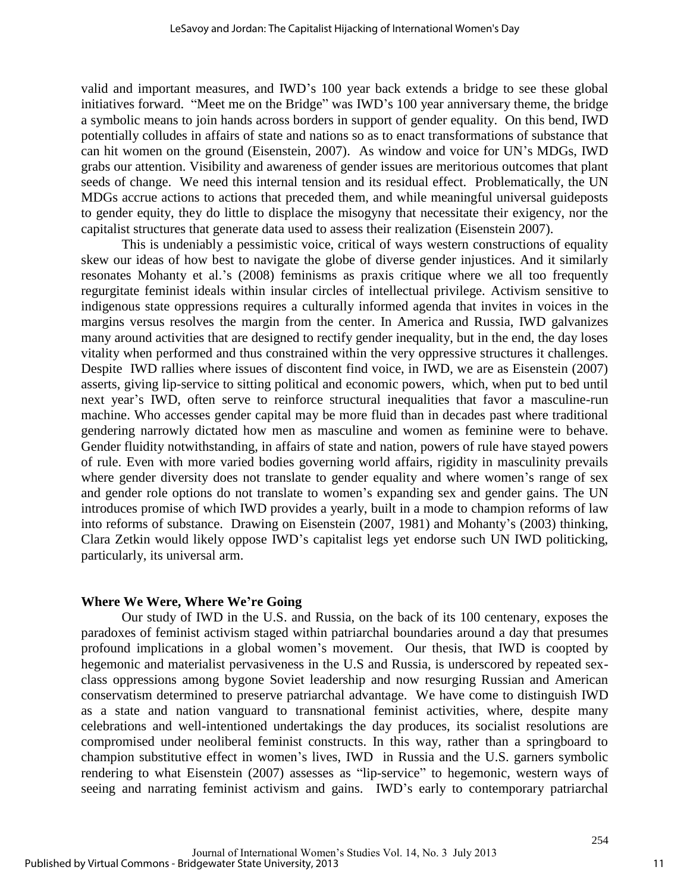valid and important measures, and IWD's 100 year back extends a bridge to see these global initiatives forward. "Meet me on the Bridge" was IWD's 100 year anniversary theme, the bridge a symbolic means to join hands across borders in support of gender equality. On this bend, IWD potentially colludes in affairs of state and nations so as to enact transformations of substance that can hit women on the ground (Eisenstein, 2007). As window and voice for UN's MDGs, IWD grabs our attention. Visibility and awareness of gender issues are meritorious outcomes that plant seeds of change. We need this internal tension and its residual effect. Problematically, the UN MDGs accrue actions to actions that preceded them, and while meaningful universal guideposts to gender equity, they do little to displace the misogyny that necessitate their exigency, nor the capitalist structures that generate data used to assess their realization (Eisenstein 2007).

This is undeniably a pessimistic voice, critical of ways western constructions of equality skew our ideas of how best to navigate the globe of diverse gender injustices. And it similarly resonates Mohanty et al.'s (2008) feminisms as praxis critique where we all too frequently regurgitate feminist ideals within insular circles of intellectual privilege. Activism sensitive to indigenous state oppressions requires a culturally informed agenda that invites in voices in the margins versus resolves the margin from the center. In America and Russia, IWD galvanizes many around activities that are designed to rectify gender inequality, but in the end, the day loses vitality when performed and thus constrained within the very oppressive structures it challenges. Despite IWD rallies where issues of discontent find voice, in IWD, we are as Eisenstein (2007) asserts, giving lip-service to sitting political and economic powers, which, when put to bed until next year's IWD, often serve to reinforce structural inequalities that favor a masculine-run machine. Who accesses gender capital may be more fluid than in decades past where traditional gendering narrowly dictated how men as masculine and women as feminine were to behave. Gender fluidity notwithstanding, in affairs of state and nation, powers of rule have stayed powers of rule. Even with more varied bodies governing world affairs, rigidity in masculinity prevails where gender diversity does not translate to gender equality and where women's range of sex and gender role options do not translate to women's expanding sex and gender gains. The UN introduces promise of which IWD provides a yearly, built in a mode to champion reforms of law into reforms of substance. Drawing on Eisenstein (2007, 1981) and Mohanty's (2003) thinking, Clara Zetkin would likely oppose IWD's capitalist legs yet endorse such UN IWD politicking, particularly, its universal arm.

#### **Where We Were, Where We're Going**

Our study of IWD in the U.S. and Russia, on the back of its 100 centenary, exposes the paradoxes of feminist activism staged within patriarchal boundaries around a day that presumes profound implications in a global women's movement. Our thesis, that IWD is coopted by hegemonic and materialist pervasiveness in the U.S and Russia, is underscored by repeated sexclass oppressions among bygone Soviet leadership and now resurging Russian and American conservatism determined to preserve patriarchal advantage. We have come to distinguish IWD as a state and nation vanguard to transnational feminist activities, where, despite many celebrations and well-intentioned undertakings the day produces, its socialist resolutions are compromised under neoliberal feminist constructs. In this way, rather than a springboard to champion substitutive effect in women's lives, IWD in Russia and the U.S. garners symbolic rendering to what Eisenstein (2007) assesses as "lip-service" to hegemonic, western ways of seeing and narrating feminist activism and gains. IWD's early to contemporary patriarchal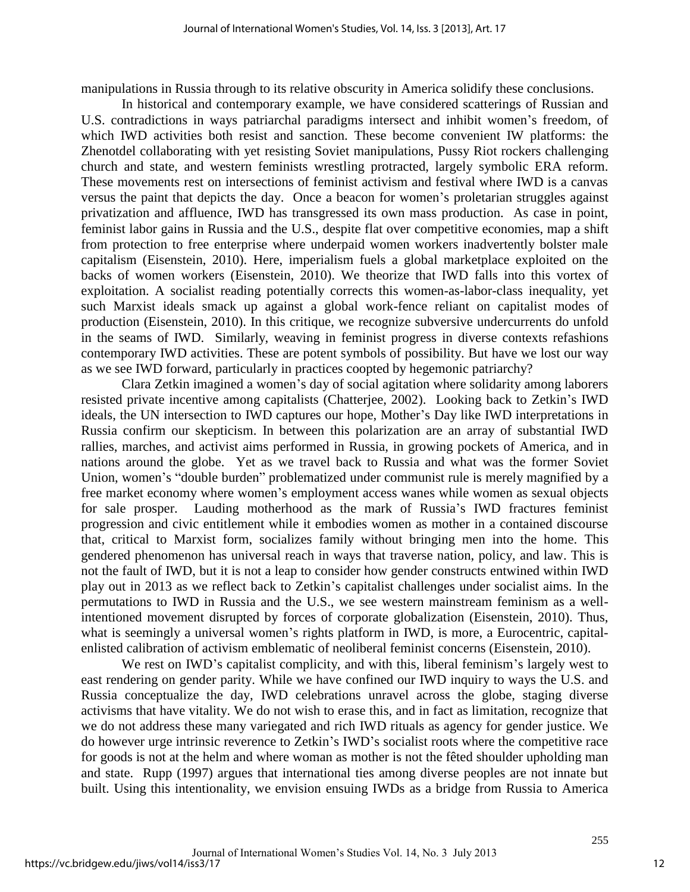manipulations in Russia through to its relative obscurity in America solidify these conclusions.

 In historical and contemporary example, we have considered scatterings of Russian and U.S. contradictions in ways patriarchal paradigms intersect and inhibit women's freedom, of which IWD activities both resist and sanction. These become convenient IW platforms: the Zhenotdel collaborating with yet resisting Soviet manipulations, Pussy Riot rockers challenging church and state, and western feminists wrestling protracted, largely symbolic ERA reform. These movements rest on intersections of feminist activism and festival where IWD is a canvas versus the paint that depicts the day. Once a beacon for women's proletarian struggles against privatization and affluence, IWD has transgressed its own mass production. As case in point, feminist labor gains in Russia and the U.S., despite flat over competitive economies, map a shift from protection to free enterprise where underpaid women workers inadvertently bolster male capitalism (Eisenstein, 2010). Here, imperialism fuels a global marketplace exploited on the backs of women workers (Eisenstein, 2010). We theorize that IWD falls into this vortex of exploitation. A socialist reading potentially corrects this women-as-labor-class inequality, yet such Marxist ideals smack up against a global work-fence reliant on capitalist modes of production (Eisenstein, 2010). In this critique, we recognize subversive undercurrents do unfold in the seams of IWD. Similarly, weaving in feminist progress in diverse contexts refashions contemporary IWD activities. These are potent symbols of possibility. But have we lost our way as we see IWD forward, particularly in practices coopted by hegemonic patriarchy?

Clara Zetkin imagined a women's day of social agitation where solidarity among laborers resisted private incentive among capitalists (Chatterjee, 2002). Looking back to Zetkin's IWD ideals, the UN intersection to IWD captures our hope, Mother's Day like IWD interpretations in Russia confirm our skepticism. In between this polarization are an array of substantial IWD rallies, marches, and activist aims performed in Russia, in growing pockets of America, and in nations around the globe. Yet as we travel back to Russia and what was the former Soviet Union, women's "double burden" problematized under communist rule is merely magnified by a free market economy where women's employment access wanes while women as sexual objects for sale prosper. Lauding motherhood as the mark of Russia's IWD fractures feminist progression and civic entitlement while it embodies women as mother in a contained discourse that, critical to Marxist form, socializes family without bringing men into the home. This gendered phenomenon has universal reach in ways that traverse nation, policy, and law. This is not the fault of IWD, but it is not a leap to consider how gender constructs entwined within IWD play out in 2013 as we reflect back to Zetkin's capitalist challenges under socialist aims. In the permutations to IWD in Russia and the U.S., we see western mainstream feminism as a wellintentioned movement disrupted by forces of corporate globalization (Eisenstein, 2010). Thus, what is seemingly a universal women's rights platform in IWD, is more, a Eurocentric, capitalenlisted calibration of activism emblematic of neoliberal feminist concerns (Eisenstein, 2010).

We rest on IWD's capitalist complicity, and with this, liberal feminism's largely west to east rendering on gender parity. While we have confined our IWD inquiry to ways the U.S. and Russia conceptualize the day, IWD celebrations unravel across the globe, staging diverse activisms that have vitality. We do not wish to erase this, and in fact as limitation, recognize that we do not address these many variegated and rich IWD rituals as agency for gender justice. We do however urge intrinsic reverence to Zetkin's IWD's socialist roots where the competitive race for goods is not at the helm and where woman as mother is not the fêted shoulder upholding man and state. Rupp (1997) argues that international ties among diverse peoples are not innate but built. Using this intentionality, we envision ensuing IWDs as a bridge from Russia to America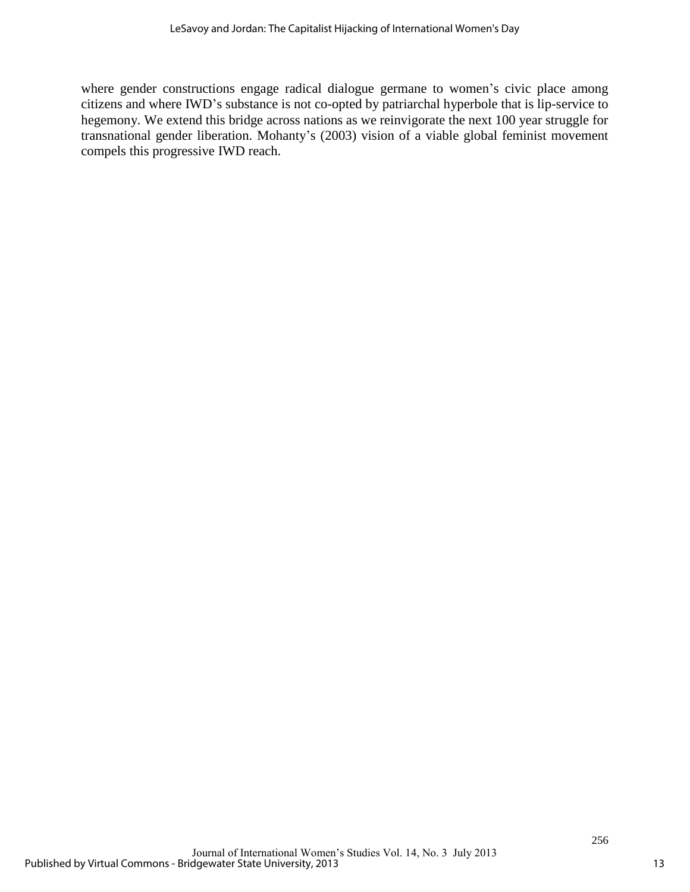where gender constructions engage radical dialogue germane to women's civic place among citizens and where IWD's substance is not co-opted by patriarchal hyperbole that is lip-service to hegemony. We extend this bridge across nations as we reinvigorate the next 100 year struggle for transnational gender liberation. Mohanty's (2003) vision of a viable global feminist movement compels this progressive IWD reach.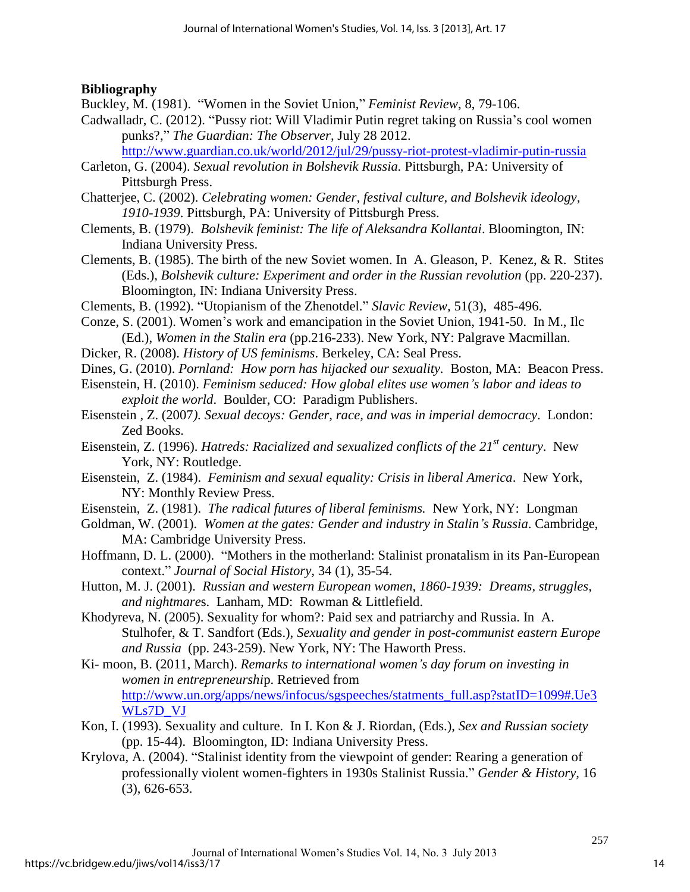#### **Bibliography**

Buckley, M. (1981). "Women in the Soviet Union," *Feminist Review*, 8, 79-106.

Cadwalladr, C. (2012). "Pussy riot: Will Vladimir Putin regret taking on Russia's cool women punks?," *The Guardian: The Observer*, July 28 2012.

<http://www.guardian.co.uk/world/2012/jul/29/pussy-riot-protest-vladimir-putin-russia>

- Carleton, G. (2004). *Sexual revolution in Bolshevik Russia.* Pittsburgh, PA: University of Pittsburgh Press.
- Chatterjee, C. (2002). *Celebrating women: Gender, festival culture, and Bolshevik ideology, 1910-1939*. Pittsburgh, PA: University of Pittsburgh Press.
- Clements, B. (1979). *Bolshevik feminist: The life of Aleksandra Kollantai*. Bloomington, IN: Indiana University Press.
- Clements, B. (1985). The birth of the new Soviet women. In A. Gleason, P. Kenez, & R. Stites (Eds.), *Bolshevik culture: Experiment and order in the Russian revolution* (pp. 220-237). Bloomington, IN: Indiana University Press.
- Clements, B. (1992). "Utopianism of the Zhenotdel." *Slavic Review,* 51(3), 485-496.
- Conze, S. (2001). Women's work and emancipation in the Soviet Union, 1941-50. In M., Ilc (Ed.), *Women in the Stalin era* (pp.216-233). New York, NY: Palgrave Macmillan.
- Dicker, R. (2008). *History of US feminisms*. Berkeley, CA: Seal Press.
- Dines, G. (2010). *Pornland: How porn has hijacked our sexuality.* Boston, MA: Beacon Press.
- Eisenstein, H. (2010). *Feminism seduced: How global elites use women's labor and ideas to exploit the world*. Boulder, CO: Paradigm Publishers.
- Eisenstein , Z. (2007*). Sexual decoys: Gender, race, and was in imperial democracy*. London: Zed Books.
- Eisenstein, Z. (1996). *Hatreds: Racialized and sexualized conflicts of the 21st century*. New York, NY: Routledge.
- Eisenstein, Z. (1984). *Feminism and sexual equality: Crisis in liberal America*. New York, NY: Monthly Review Press.
- Eisenstein, Z. (1981). *The radical futures of liberal feminisms.* New York, NY: Longman
- Goldman, W. (2001). *Women at the gates: Gender and industry in Stalin's Russia*. Cambridge, MA: Cambridge University Press.
- Hoffmann, D. L. (2000). "Mothers in the motherland: Stalinist pronatalism in its Pan-European context." *Journal of Social History,* 34 (1), 35-54.
- Hutton, M. J. (2001). *Russian and western European women, 1860-1939: Dreams, struggles, and nightmare*s. Lanham, MD: Rowman & Littlefield.
- Khodyreva, N. (2005). Sexuality for whom?: Paid sex and patriarchy and Russia. In A. Stulhofer, & T. Sandfort (Eds.), *Sexuality and gender in post-communist eastern Europe and Russia* (pp. 243-259). New York, NY: The Haworth Press.
- Ki- moon, B. (2011, March). *Remarks to international women's day forum on investing in women in entrepreneurshi*p. Retrieved from [http://www.un.org/apps/news/infocus/sgspeeches/statments\\_full.asp?statID=1099#.Ue3](http://www.un.org/apps/news/infocus/sgspeeches/statments_full.asp?statID=1099#.Ue3WLs7D_VJ) [WLs7D\\_VJ](http://www.un.org/apps/news/infocus/sgspeeches/statments_full.asp?statID=1099#.Ue3WLs7D_VJ)
- Kon, I. (1993). Sexuality and culture. In I. Kon & J. Riordan, (Eds.), *Sex and Russian society* (pp. 15-44). Bloomington, ID: Indiana University Press.
- Krylova, A. (2004). "Stalinist identity from the viewpoint of gender: Rearing a generation of professionally violent women-fighters in 1930s Stalinist Russia." *Gender & History,* 16 (3), 626-653.